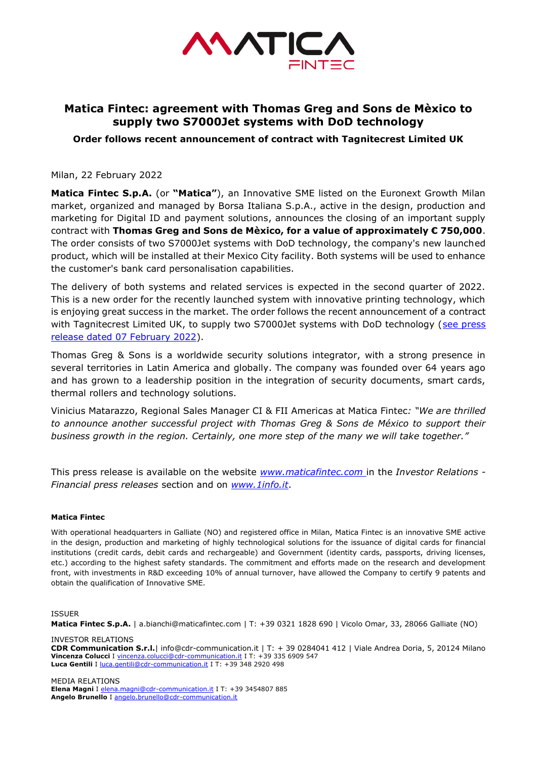

## **Matica Fintec: agreement with Thomas Greg and Sons de Mèxico to supply two S7000Jet systems with DoD technology**

**Order follows recent announcement of contract with Tagnitecrest Limited UK**

Milan, 22 February 2022

**Matica Fintec S.p.A.** (or **"Matica"**), an Innovative SME listed on the Euronext Growth Milan market, organized and managed by Borsa Italiana S.p.A., active in the design, production and marketing for Digital ID and payment solutions, announces the closing of an important supply contract with **Thomas Greg and Sons de Mèxico, for a value of approximately € 750,000**. The order consists of two S7000Jet systems with DoD technology, the company's new launched product, which will be installed at their Mexico City facility. Both systems will be used to enhance the customer's bank card personalisation capabilities.

The delivery of both systems and related services is expected in the second quarter of 2022. This is a new order for the recently launched system with innovative printing technology, which is enjoying great success in the market. The order follows the recent announcement of a contract with Tagnitecrest Limited UK, to supply two S7000Jet systems with DoD technology (see press [release dated 07 February 2022\)](https://www.maticafintec.com/wp-content/uploads/2022/02/CS_Matica_Fintec_Contratto_Nitecrest_EN.pdf).

Thomas Greg & Sons is a worldwide security solutions integrator, with a strong presence in several territories in Latin America and globally. The company was founded over 64 years ago and has grown to a leadership position in the integration of security documents, smart cards, thermal rollers and technology solutions.

Vinicius Matarazzo, Regional Sales Manager CI & FII Americas at Matica Fintec*: "We are thrilled to announce another successful project with Thomas Greg & Sons de México to support their business growth in the region. Certainly, one more step of the many we will take together."*

This press release is available on the website *[www.maticafintec.com](http://www.maticafintec.com/)* in the *Investor Relations - Financial press releases* section and on *[www.1info.it](http://www.1info.it/)*.

## **Matica Fintec**

With operational headquarters in Galliate (NO) and registered office in Milan, Matica Fintec is an innovative SME active in the design, production and marketing of highly technological solutions for the issuance of digital cards for financial institutions (credit cards, debit cards and rechargeable) and Government (identity cards, passports, driving licenses, etc.) according to the highest safety standards. The commitment and efforts made on the research and development front, with investments in R&D exceeding 10% of annual turnover, have allowed the Company to certify 9 patents and obtain the qualification of Innovative SME.

## ISSUER

**Matica Fintec S.p.A.** | a.bianchi@maticafintec.com | T: +39 0321 1828 690 | Vicolo Omar, 33, 28066 Galliate (NO)

INVESTOR RELATIONS **CDR Communication S.r.l.**| info@cdr-communication.it | T: + 39 0284041 412 | Viale Andrea Doria, 5, 20124 Milano **Vincenza Colucci** I [vincenza.colucci@cdr-communication.it](mailto:vincenza.colucci@cdr-communication.it) I T: +39 335 6909 547 Luca Gentili I [luca.gentili@cdr-communication.it](mailto:luca.gentili@cdr-communication.it) I T: +39 348 2920 498

MEDIA RELATIONS **Elena Magni** I [elena.magni@cdr-communication.it](mailto:elena.magni@cdr-communication.it) I T: +39 3454807 885 **Angelo Brunello** I [angelo.brunello@cdr-communication.it](mailto:angelo.brunello@cdr-communication.it)